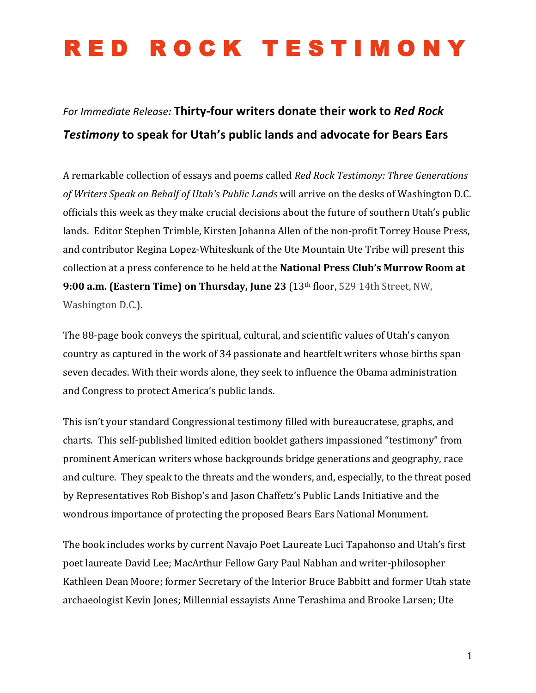#### For Immediate Release: Thirty-four writers donate their work to Red Rock **Testimony** to speak for Utah's public lands and advocate for Bears Ears

A remarkable collection of essays and poems called *Red Rock Testimony: Three Generations* of Writers Speak on Behalf of Utah's Public Lands will arrive on the desks of Washington D.C. officials this week as they make crucial decisions about the future of southern Utah's public lands. Editor Stephen Trimble, Kirsten Johanna Allen of the non-profit Torrey House Press, and contributor Regina Lopez-Whiteskunk of the Ute Mountain Ute Tribe will present this collection at a press conference to be held at the **National Press Club's Murrow Room at 9:00 a.m. (Eastern Time) on Thursday, June 23** (13th floor, 529 14th Street, NW, Washington D.C.).

The 88-page book conveys the spiritual, cultural, and scientific values of Utah's canyon country as captured in the work of 34 passionate and heartfelt writers whose births span seven decades. With their words alone, they seek to influence the Obama administration and Congress to protect America's public lands.

This isn't your standard Congressional testimony filled with bureaucratese, graphs, and charts. This self-published limited edition booklet gathers impassioned "testimony" from prominent American writers whose backgrounds bridge generations and geography, race and culture. They speak to the threats and the wonders, and, especially, to the threat posed by Representatives Rob Bishop's and Jason Chaffetz's Public Lands Initiative and the wondrous importance of protecting the proposed Bears Ears National Monument.

The book includes works by current Navajo Poet Laureate Luci Tapahonso and Utah's first poet laureate David Lee; MacArthur Fellow Gary Paul Nabhan and writer-philosopher Kathleen Dean Moore; former Secretary of the Interior Bruce Babbitt and former Utah state archaeologist Kevin Jones; Millennial essayists Anne Terashima and Brooke Larsen; Ute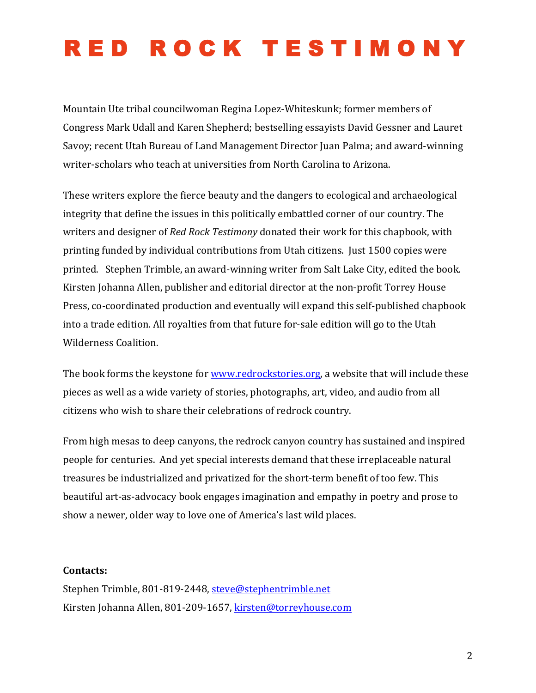Mountain Ute tribal councilwoman Regina Lopez-Whiteskunk; former members of Congress Mark Udall and Karen Shepherd; bestselling essayists David Gessner and Lauret Savoy; recent Utah Bureau of Land Management Director Juan Palma; and award-winning writer-scholars who teach at universities from North Carolina to Arizona.

These writers explore the fierce beauty and the dangers to ecological and archaeological integrity that define the issues in this politically embattled corner of our country. The writers and designer of *Red Rock Testimony* donated their work for this chapbook, with printing funded by individual contributions from Utah citizens. Just 1500 copies were printed. Stephen Trimble, an award-winning writer from Salt Lake City, edited the book. Kirsten Johanna Allen, publisher and editorial director at the non-profit Torrey House Press, co-coordinated production and eventually will expand this self-published chapbook into a trade edition. All royalties from that future for-sale edition will go to the Utah Wilderness Coalition.

The book forms the keystone for www.redrockstories.org, a website that will include these pieces as well as a wide variety of stories, photographs, art, video, and audio from all citizens who wish to share their celebrations of redrock country.

From high mesas to deep canyons, the redrock canyon country has sustained and inspired people for centuries. And yet special interests demand that these irreplaceable natural treasures be industrialized and privatized for the short-term benefit of too few. This beautiful art-as-advocacy book engages imagination and empathy in poetry and prose to show a newer, older way to love one of America's last wild places.

#### **Contacts:**

Stephen Trimble, 801-819-2448, steve@stephentrimble.net Kirsten Johanna Allen, 801-209-1657, kirsten@torreyhouse.com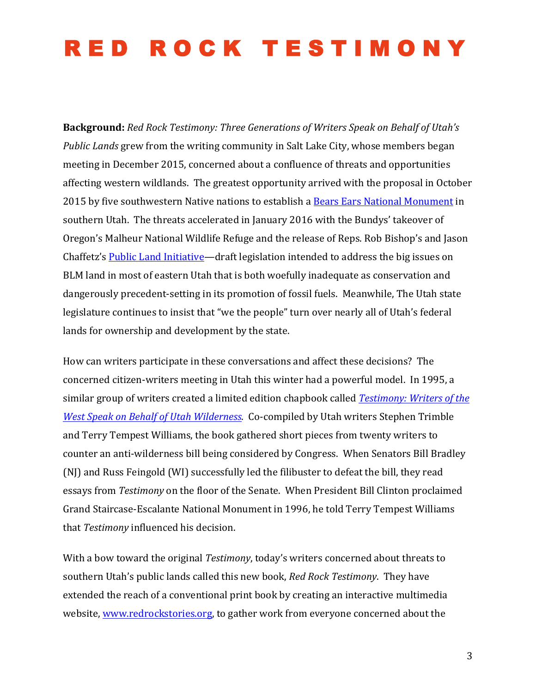**Background:** Red Rock Testimony: Three Generations of Writers Speak on Behalf of Utah's *Public Lands* grew from the writing community in Salt Lake City, whose members began meeting in December 2015, concerned about a confluence of threats and opportunities affecting western wildlands. The greatest opportunity arrived with the proposal in October 2015 by five southwestern Native nations to establish a Bears Ears National Monument in southern Utah. The threats accelerated in January 2016 with the Bundys' takeover of Oregon's Malheur National Wildlife Refuge and the release of Reps. Rob Bishop's and Jason Chaffetz's Public Land Initiative—draft legislation intended to address the big issues on BLM land in most of eastern Utah that is both woefully inadequate as conservation and dangerously precedent-setting in its promotion of fossil fuels. Meanwhile, The Utah state legislature continues to insist that "we the people" turn over nearly all of Utah's federal lands for ownership and development by the state.

How can writers participate in these conversations and affect these decisions? The concerned citizen-writers meeting in Utah this winter had a powerful model. In 1995, a similar group of writers created a limited edition chapbook called *Testimony: Writers of the West Speak on Behalf of Utah Wilderness.* Co-compiled by Utah writers Stephen Trimble and Terry Tempest Williams, the book gathered short pieces from twenty writers to counter an anti-wilderness bill being considered by Congress. When Senators Bill Bradley (NJ) and Russ Feingold (WI) successfully led the filibuster to defeat the bill, they read essays from *Testimony* on the floor of the Senate. When President Bill Clinton proclaimed Grand Staircase-Escalante National Monument in 1996, he told Terry Tempest Williams that *Testimony* influenced his decision.

With a bow toward the original *Testimony*, today's writers concerned about threats to southern Utah's public lands called this new book, *Red Rock Testimony*. They have extended the reach of a conventional print book by creating an interactive multimedia website, www.redrockstories.org, to gather work from everyone concerned about the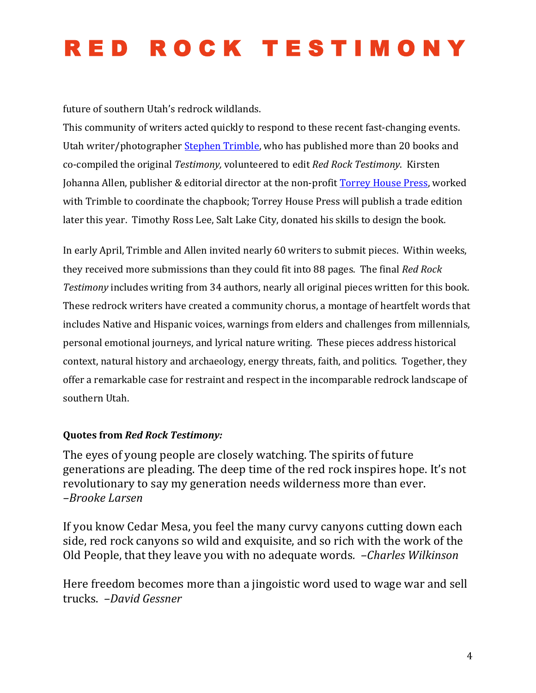future of southern Utah's redrock wildlands.

This community of writers acted quickly to respond to these recent fast-changing events. Utah writer/photographer Stephen Trimble, who has published more than 20 books and co-compiled the original *Testimony*, volunteered to edit *Red Rock Testimony*. Kirsten Johanna Allen, publisher & editorial director at the non-profit Torrey House Press, worked with Trimble to coordinate the chapbook; Torrey House Press will publish a trade edition later this year. Timothy Ross Lee, Salt Lake City, donated his skills to design the book.

In early April, Trimble and Allen invited nearly 60 writers to submit pieces. Within weeks, they received more submissions than they could fit into 88 pages. The final *Red Rock* Testimony includes writing from 34 authors, nearly all original pieces written for this book. These redrock writers have created a community chorus, a montage of heartfelt words that includes Native and Hispanic voices, warnings from elders and challenges from millennials, personal emotional journeys, and lyrical nature writing. These pieces address historical context, natural history and archaeology, energy threats, faith, and politics. Together, they offer a remarkable case for restraint and respect in the incomparable redrock landscape of southern Utah.

#### **Quotes from Red Rock Testimony:**

The eyes of young people are closely watching. The spirits of future generations are pleading. The deep time of the red rock inspires hope. It's not revolutionary to say my generation needs wilderness more than ever. *–Brooke Larsen*

If you know Cedar Mesa, you feel the many curvy canyons cutting down each side, red rock canyons so wild and exquisite, and so rich with the work of the Old People, that they leave you with no adequate words. *-Charles Wilkinson* 

Here freedom becomes more than a jingoistic word used to wage war and sell trucks. *–David Gessner*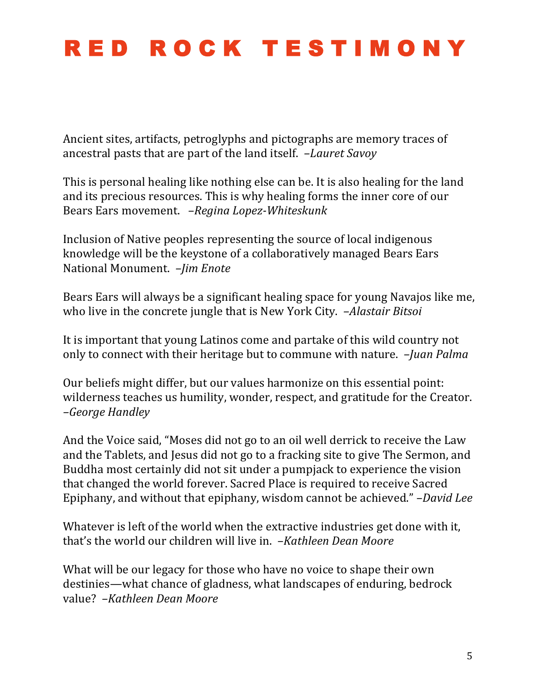Ancient sites, artifacts, petroglyphs and pictographs are memory traces of ancestral pasts that are part of the land itself. *-Lauret Savoy* 

This is personal healing like nothing else can be. It is also healing for the land and its precious resources. This is why healing forms the inner core of our Bears Ears movement. -Regina Lopez-Whiteskunk

Inclusion of Native peoples representing the source of local indigenous knowledge will be the keystone of a collaboratively managed Bears Ears National Monument. *-Jim Enote* 

Bears Ears will always be a significant healing space for young Navajos like me, who live in the concrete jungle that is New York City. *-Alastair Bitsoi* 

It is important that young Latinos come and partake of this wild country not only to connect with their heritage but to commune with nature. *-Juan Palma* 

Our beliefs might differ, but our values harmonize on this essential point: wilderness teaches us humility, wonder, respect, and gratitude for the Creator. *–George Handley*

And the Voice said, "Moses did not go to an oil well derrick to receive the Law and the Tablets, and Jesus did not go to a fracking site to give The Sermon, and Buddha most certainly did not sit under a pumpjack to experience the vision that changed the world forever. Sacred Place is required to receive Sacred Epiphany, and without that epiphany, wisdom cannot be achieved." *–David Lee* 

Whatever is left of the world when the extractive industries get done with it, that's the world our children will live in. *-Kathleen Dean Moore* 

What will be our legacy for those who have no voice to shape their own destinies—what chance of gladness, what landscapes of enduring, bedrock value? *–Kathleen Dean Moore*